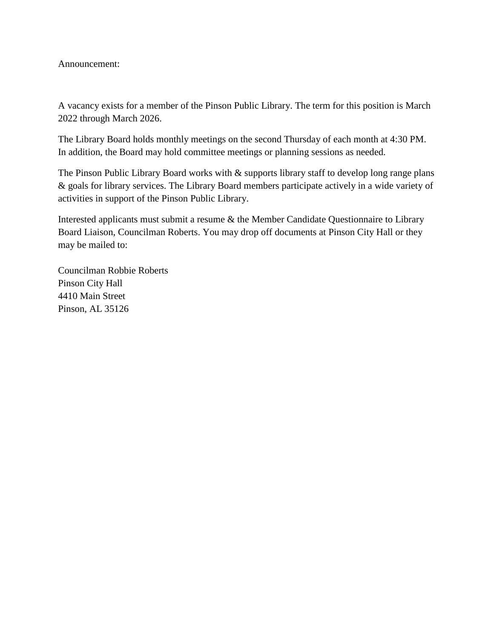Announcement:

A vacancy exists for a member of the Pinson Public Library. The term for this position is March 2022 through March 2026.

The Library Board holds monthly meetings on the second Thursday of each month at 4:30 PM. In addition, the Board may hold committee meetings or planning sessions as needed.

The Pinson Public Library Board works with  $\&$  supports library staff to develop long range plans & goals for library services. The Library Board members participate actively in a wide variety of activities in support of the Pinson Public Library.

Interested applicants must submit a resume & the Member Candidate Questionnaire to Library Board Liaison, Councilman Roberts. You may drop off documents at Pinson City Hall or they may be mailed to:

Councilman Robbie Roberts Pinson City Hall 4410 Main Street Pinson, AL 35126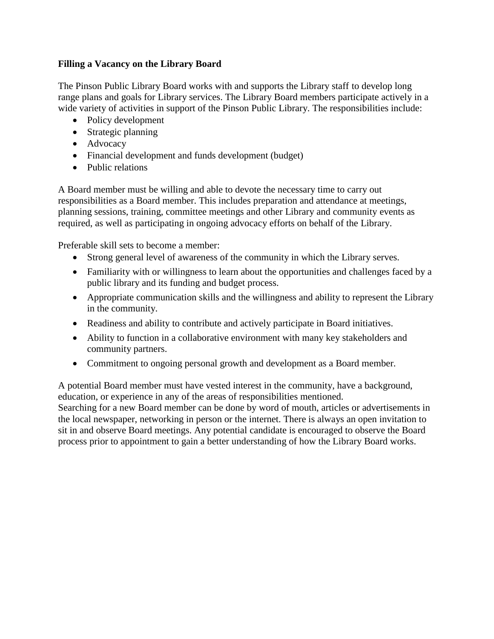## **Filling a Vacancy on the Library Board**

The Pinson Public Library Board works with and supports the Library staff to develop long range plans and goals for Library services. The Library Board members participate actively in a wide variety of activities in support of the Pinson Public Library. The responsibilities include:

- Policy development
- Strategic planning
- Advocacy
- Financial development and funds development (budget)
- Public relations

A Board member must be willing and able to devote the necessary time to carry out responsibilities as a Board member. This includes preparation and attendance at meetings, planning sessions, training, committee meetings and other Library and community events as required, as well as participating in ongoing advocacy efforts on behalf of the Library.

Preferable skill sets to become a member:

- Strong general level of awareness of the community in which the Library serves.
- Familiarity with or willingness to learn about the opportunities and challenges faced by a public library and its funding and budget process.
- Appropriate communication skills and the willingness and ability to represent the Library in the community.
- Readiness and ability to contribute and actively participate in Board initiatives.
- Ability to function in a collaborative environment with many key stakeholders and community partners.
- Commitment to ongoing personal growth and development as a Board member.

A potential Board member must have vested interest in the community, have a background, education, or experience in any of the areas of responsibilities mentioned.

Searching for a new Board member can be done by word of mouth, articles or advertisements in the local newspaper, networking in person or the internet. There is always an open invitation to sit in and observe Board meetings. Any potential candidate is encouraged to observe the Board process prior to appointment to gain a better understanding of how the Library Board works.